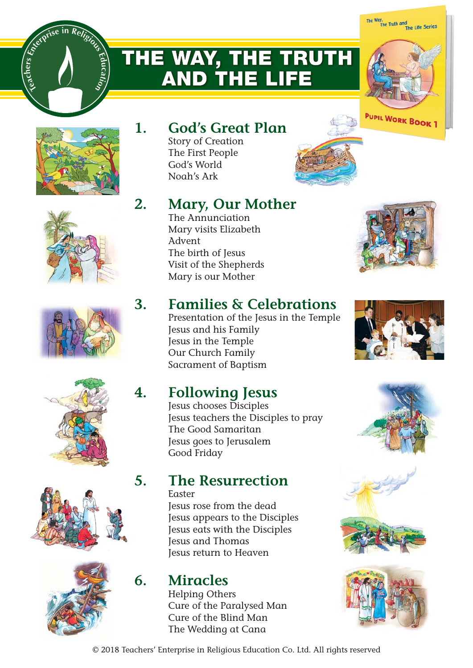# **THE WAY, THE TRUTH AND THE LIFE**





<sub>ca</sub>chers











## **1. God's Great Plan**

Story of Creation The First People God's World Noah's Ark

# **2. Mary, Our Mother**

The Annunciation Mary visits Elizabeth Advent The birth of Jesus Visit of the Shepherds Mary is our Mother



# **3. Families & Celebrations**

Presentation of the Jesus in the Temple Jesus and his Family Jesus in the Temple Our Church Family Sacrament of Baptism

## **4. Following Jesus**

Jesus chooses Disciples Jesus teachers the Disciples to pray The Good Samaritan Jesus goes to Jerusalem Good Friday

### **5. The Resurrection**

Easter

Jesus rose from the dead Jesus appears to the Disciples Jesus eats with the Disciples Jesus and Thomas Jesus return to Heaven

### **6. Miracles**

Helping Others Cure of the Paralysed Man Cure of the Blind Man The Wedding at Cana









© 2018 Teachers' Enterprise in Religious Education Co. Ltd. All rights reserved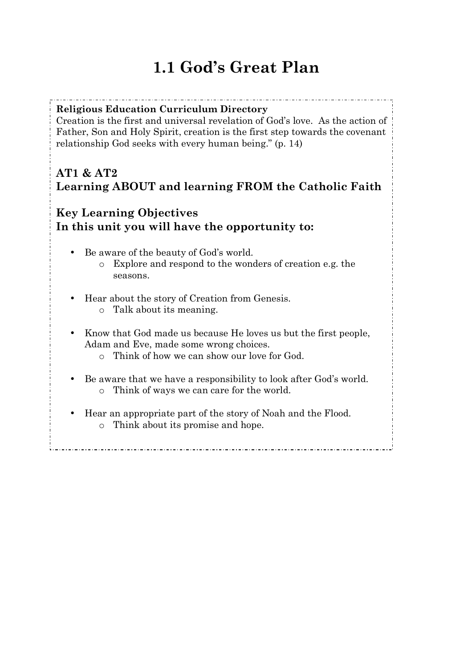# **1.1 God's Great Plan**

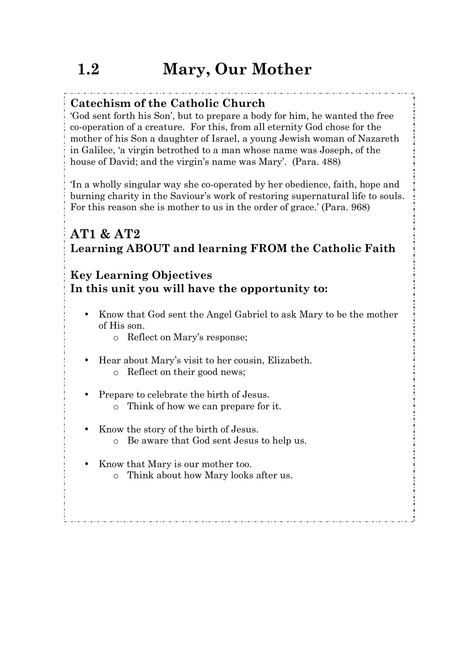### **Catechism of the Catholic Church**

'God sent forth his Son', but to prepare a body for him, he wanted the free co-operation of a creature. For this, from all eternity God chose for the mother of his Son a daughter of Israel, a young Jewish woman of Nazareth in Galilee, 'a virgin betrothed to a man whose name was Joseph, of the house of David; and the virgin's name was Mary'. (Para. 488)

'In a wholly singular way she co-operated by her obedience, faith, hope and burning charity in the Saviour's work of restoring supernatural life to souls. For this reason she is mother to us in the order of grace.' (Para. 968)

### **AT1 & AT2 Learning ABOUT and learning FROM the Catholic Faith**

#### **Key Learning Objectives In this unit you will have the opportunity to:**

- Know that God sent the Angel Gabriel to ask Mary to be the mother of His son.
	- o Reflect on Mary's response;
- Hear about Mary's visit to her cousin, Elizabeth. o Reflect on their good news;
- Prepare to celebrate the birth of Jesus.
	- o Think of how we can prepare for it.
- Know the story of the birth of Jesus.
	- o Be aware that God sent Jesus to help us.
- Know that Mary is our mother too.
	- o Think about how Mary looks after us.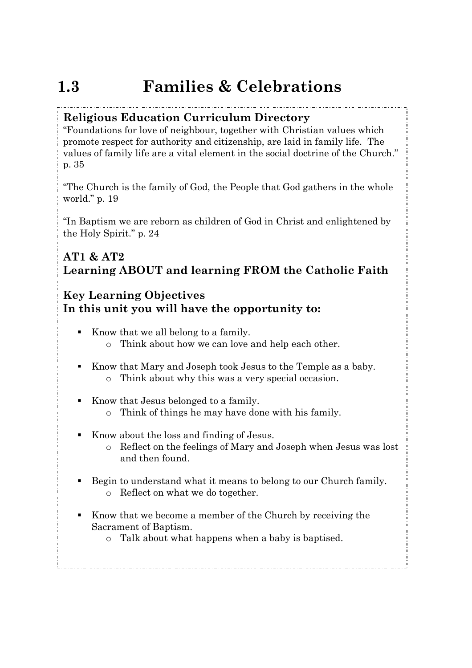# **1.3 Families & Celebrations**

#### **Religious Education Curriculum Directory**

"Foundations for love of neighbour, together with Christian values which promote respect for authority and citizenship, are laid in family life. The values of family life are a vital element in the social doctrine of the Church." p. 35

"The Church is the family of God, the People that God gathers in the whole world." p. 19

"In Baptism we are reborn as children of God in Christ and enlightened by the Holy Spirit." p. 24

#### **AT1 & AT2 Learning ABOUT and learning FROM the Catholic Faith**

#### **Key Learning Objectives In this unit you will have the opportunity to:**

- ! Know that we all belong to a family. o Think about how we can love and help each other.
- ! Know that Mary and Joseph took Jesus to the Temple as a baby. o Think about why this was a very special occasion.
- ! Know that Jesus belonged to a family.
	- o Think of things he may have done with his family.
- ! Know about the loss and finding of Jesus.
	- o Reflect on the feelings of Mary and Joseph when Jesus was lost and then found.
- ! Begin to understand what it means to belong to our Church family. o Reflect on what we do together.
- ! Know that we become a member of the Church by receiving the Sacrament of Baptism.
	- o Talk about what happens when a baby is baptised.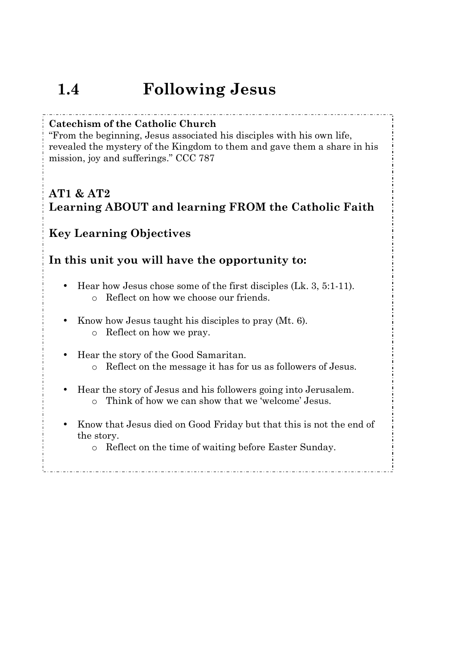# **1.4 Following Jesus**

#### **Catechism of the Catholic Church**

"From the beginning, Jesus associated his disciples with his own life, revealed the mystery of the Kingdom to them and gave them a share in his mission, joy and sufferings." CCC 787

### **AT1 & AT2 Learning ABOUT and learning FROM the Catholic Faith**

#### **Key Learning Objectives**

#### **In this unit you will have the opportunity to:**

- Hear how Jesus chose some of the first disciples (Lk. 3, 5:1-11). o Reflect on how we choose our friends.
- Know how Jesus taught his disciples to pray (Mt. 6). o Reflect on how we pray.
- Hear the story of the Good Samaritan.
	- o Reflect on the message it has for us as followers of Jesus.
- Hear the story of Jesus and his followers going into Jerusalem. o Think of how we can show that we 'welcome' Jesus.
- Know that Jesus died on Good Friday but that this is not the end of the story.

o Reflect on the time of waiting before Easter Sunday.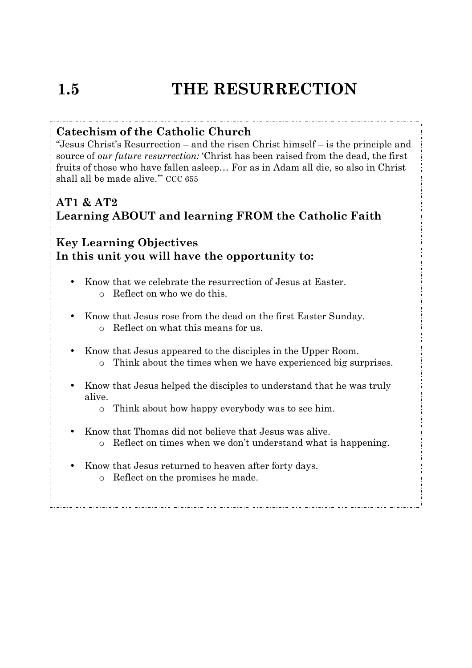# **1.5 THE RESURRECTION**

#### **Catechism of the Catholic Church**

"Jesus Christ's Resurrection – and the risen Christ himself – is the principle and source of *our future resurrection:* 'Christ has been raised from the dead, the first fruits of those who have fallen asleep… For as in Adam all die, so also in Christ shall all be made alive.'" CCC 655

### **AT1 & AT2 Learning ABOUT and learning FROM the Catholic Faith**

### **Key Learning Objectives In this unit you will have the opportunity to:**

- Know that we celebrate the resurrection of Jesus at Easter. o Reflect on who we do this.
- Know that Jesus rose from the dead on the first Easter Sunday. o Reflect on what this means for us.
- Know that Jesus appeared to the disciples in the Upper Room. o Think about the times when we have experienced big surprises.
- Know that Jesus helped the disciples to understand that he was truly alive.
	- o Think about how happy everybody was to see him.
- Know that Thomas did not believe that Jesus was alive.
	- o Reflect on times when we don't understand what is happening.

- Know that Jesus returned to heaven after forty days.
	- o Reflect on the promises he made.

Ī